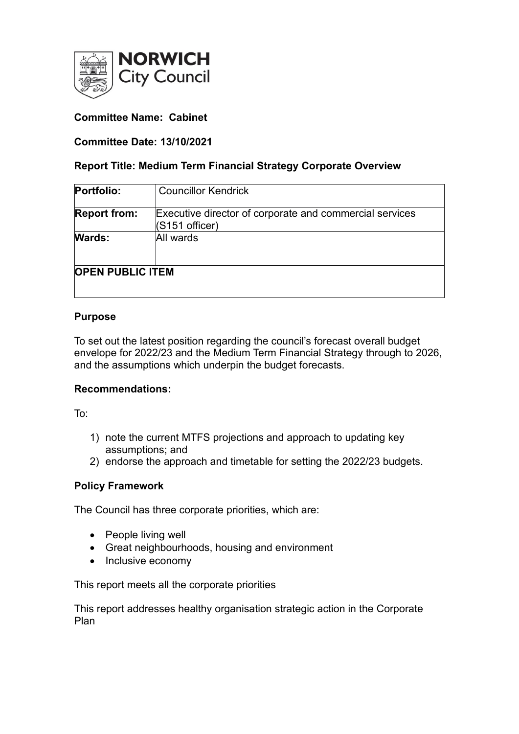

# **Committee Name: Cabinet**

## **Committee Date: 13/10/2021**

### **Report Title: Medium Term Financial Strategy Corporate Overview**

| Portfolio:              | <b>Councillor Kendrick</b>                                                |
|-------------------------|---------------------------------------------------------------------------|
| <b>Report from:</b>     | Executive director of corporate and commercial services<br>(S151 officer) |
| <b>Wards:</b>           | All wards                                                                 |
| <b>OPEN PUBLIC ITEM</b> |                                                                           |

## **Purpose**

To set out the latest position regarding the council's forecast overall budget envelope for 2022/23 and the Medium Term Financial Strategy through to 2026, and the assumptions which underpin the budget forecasts.

### **Recommendations:**

To:

- 1) note the current MTFS projections and approach to updating key assumptions; and
- 2) endorse the approach and timetable for setting the 2022/23 budgets.

### **Policy Framework**

The Council has three corporate priorities, which are:

- People living well
- Great neighbourhoods, housing and environment
- Inclusive economy

This report meets all the corporate priorities

This report addresses healthy organisation strategic action in the Corporate Plan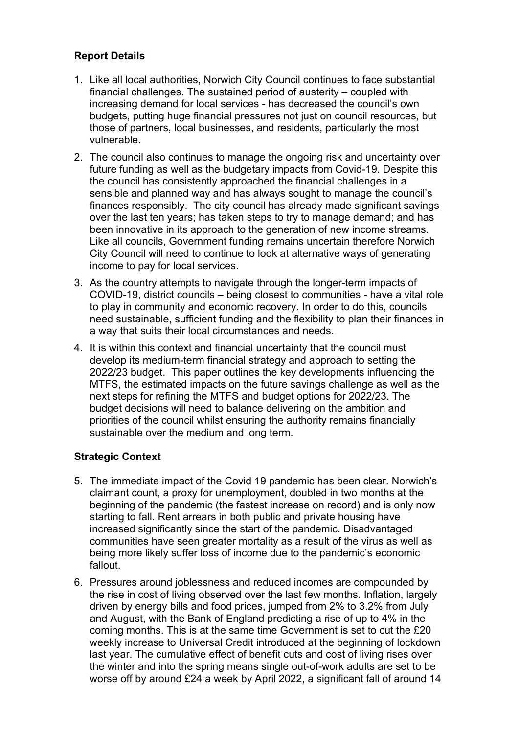# **Report Details**

- 1. Like all local authorities, Norwich City Council continues to face substantial financial challenges. The sustained period of austerity – coupled with increasing demand for local services - has decreased the council's own budgets, putting huge financial pressures not just on council resources, but those of partners, local businesses, and residents, particularly the most vulnerable.
- 2. The council also continues to manage the ongoing risk and uncertainty over future funding as well as the budgetary impacts from Covid-19. Despite this the council has consistently approached the financial challenges in a sensible and planned way and has always sought to manage the council's finances responsibly. The city council has already made significant savings over the last ten years; has taken steps to try to manage demand; and has been innovative in its approach to the generation of new income streams. Like all councils, Government funding remains uncertain therefore Norwich City Council will need to continue to look at alternative ways of generating income to pay for local services.
- 3. As the country attempts to navigate through the longer-term impacts of COVID-19, district councils – being closest to communities - have a vital role to play in community and economic recovery. In order to do this, councils need sustainable, sufficient funding and the flexibility to plan their finances in a way that suits their local circumstances and needs.
- 4. It is within this context and financial uncertainty that the council must develop its medium-term financial strategy and approach to setting the 2022/23 budget. This paper outlines the key developments influencing the MTFS, the estimated impacts on the future savings challenge as well as the next steps for refining the MTFS and budget options for 2022/23. The budget decisions will need to balance delivering on the ambition and priorities of the council whilst ensuring the authority remains financially sustainable over the medium and long term.

## **Strategic Context**

- 5. The immediate impact of the Covid 19 pandemic has been clear. Norwich's claimant count, a proxy for unemployment, doubled in two months at the beginning of the pandemic (the fastest increase on record) and is only now starting to fall. Rent arrears in both public and private housing have increased significantly since the start of the pandemic. Disadvantaged communities have seen greater mortality as a result of the virus as well as being more likely suffer loss of income due to the pandemic's economic fallout.
- 6. Pressures around joblessness and reduced incomes are compounded by the rise in cost of living observed over the last few months. Inflation, largely driven by energy bills and food prices, jumped from 2% to 3.2% from July and August, with the Bank of England predicting a rise of up to 4% in the coming months. This is at the same time Government is set to cut the £20 weekly increase to Universal Credit introduced at the beginning of lockdown last year. The cumulative effect of benefit cuts and cost of living rises over the winter and into the spring means single out-of-work adults are set to be worse off by around £24 a week by April 2022, a significant fall of around 14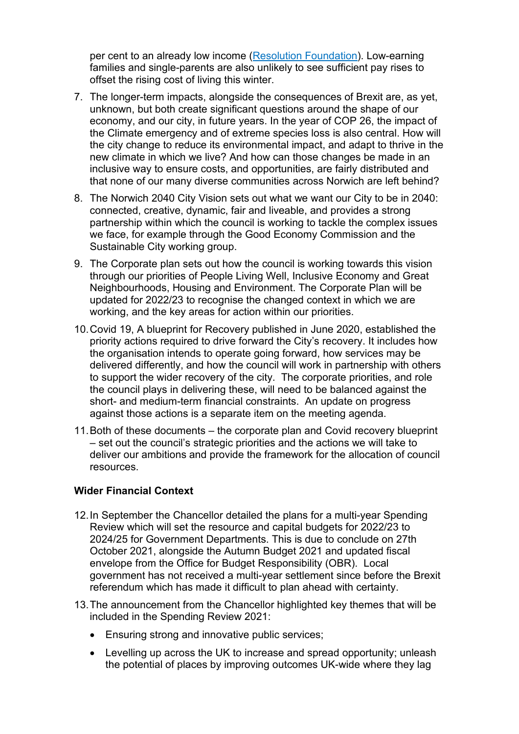per cent to an already low income [\(Resolution Foundation\)](https://www.resolutionfoundation.org/app/uploads/2021/09/The_big_squeeze.pdf). Low-earning families and single-parents are also unlikely to see sufficient pay rises to offset the rising cost of living this winter.

- 7. The longer-term impacts, alongside the consequences of Brexit are, as yet, unknown, but both create significant questions around the shape of our economy, and our city, in future years. In the year of COP 26, the impact of the Climate emergency and of extreme species loss is also central. How will the city change to reduce its environmental impact, and adapt to thrive in the new climate in which we live? And how can those changes be made in an inclusive way to ensure costs, and opportunities, are fairly distributed and that none of our many diverse communities across Norwich are left behind?
- 8. The Norwich 2040 City Vision sets out what we want our City to be in 2040: connected, creative, dynamic, fair and liveable, and provides a strong partnership within which the council is working to tackle the complex issues we face, for example through the Good Economy Commission and the Sustainable City working group.
- 9. The Corporate plan sets out how the council is working towards this vision through our priorities of People Living Well, Inclusive Economy and Great Neighbourhoods, Housing and Environment. The Corporate Plan will be updated for 2022/23 to recognise the changed context in which we are working, and the key areas for action within our priorities.
- 10.Covid 19, A blueprint for Recovery published in June 2020, established the priority actions required to drive forward the City's recovery. It includes how the organisation intends to operate going forward, how services may be delivered differently, and how the council will work in partnership with others to support the wider recovery of the city. The corporate priorities, and role the council plays in delivering these, will need to be balanced against the short- and medium-term financial constraints. An update on progress against those actions is a separate item on the meeting agenda.
- 11.Both of these documents the corporate plan and Covid recovery blueprint – set out the council's strategic priorities and the actions we will take to deliver our ambitions and provide the framework for the allocation of council resources.

### **Wider Financial Context**

- 12.In September the Chancellor detailed the plans for a multi-year Spending Review which will set the resource and capital budgets for 2022/23 to 2024/25 for Government Departments. This is due to conclude on 27th October 2021, alongside the Autumn Budget 2021 and updated fiscal envelope from the Office for Budget Responsibility (OBR). Local government has not received a multi-year settlement since before the Brexit referendum which has made it difficult to plan ahead with certainty.
- 13.The announcement from the Chancellor highlighted key themes that will be included in the Spending Review 2021:
	- Ensuring strong and innovative public services;
	- Levelling up across the UK to increase and spread opportunity; unleash the potential of places by improving outcomes UK-wide where they lag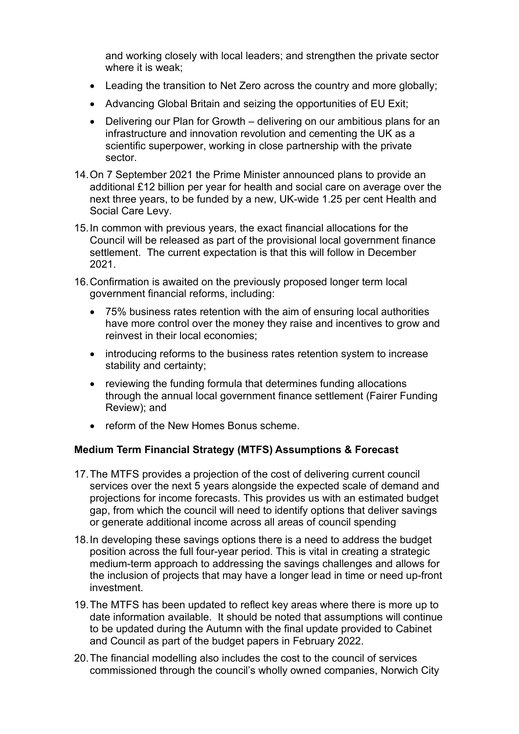and working closely with local leaders; and strengthen the private sector where it is weak;

- Leading the transition to Net Zero across the country and more globally;
- Advancing Global Britain and seizing the opportunities of EU Exit;
- Delivering our Plan for Growth delivering on our ambitious plans for an infrastructure and innovation revolution and cementing the UK as a scientific superpower, working in close partnership with the private sector.
- 14.On 7 September 2021 the Prime Minister announced plans to provide an additional £12 billion per year for health and social care on average over the next three years, to be funded by a new, UK-wide 1.25 per cent Health and Social Care Levy.
- 15.In common with previous years, the exact financial allocations for the Council will be released as part of the provisional local government finance settlement. The current expectation is that this will follow in December 2021.
- 16.Confirmation is awaited on the previously proposed longer term local government financial reforms, including:
	- 75% business rates retention with the aim of ensuring local authorities have more control over the money they raise and incentives to grow and reinvest in their local economies;
	- introducing reforms to the business rates retention system to increase stability and certainty;
	- reviewing the funding formula that determines funding allocations through the annual local government finance settlement (Fairer Funding Review); and
	- reform of the New Homes Bonus scheme.

### **Medium Term Financial Strategy (MTFS) Assumptions & Forecast**

- 17.The MTFS provides a projection of the cost of delivering current council services over the next 5 years alongside the expected scale of demand and projections for income forecasts. This provides us with an estimated budget gap, from which the council will need to identify options that deliver savings or generate additional income across all areas of council spending
- 18.In developing these savings options there is a need to address the budget position across the full four-year period. This is vital in creating a strategic medium-term approach to addressing the savings challenges and allows for the inclusion of projects that may have a longer lead in time or need up-front investment.
- 19.The MTFS has been updated to reflect key areas where there is more up to date information available. It should be noted that assumptions will continue to be updated during the Autumn with the final update provided to Cabinet and Council as part of the budget papers in February 2022.
- 20.The financial modelling also includes the cost to the council of services commissioned through the council's wholly owned companies, Norwich City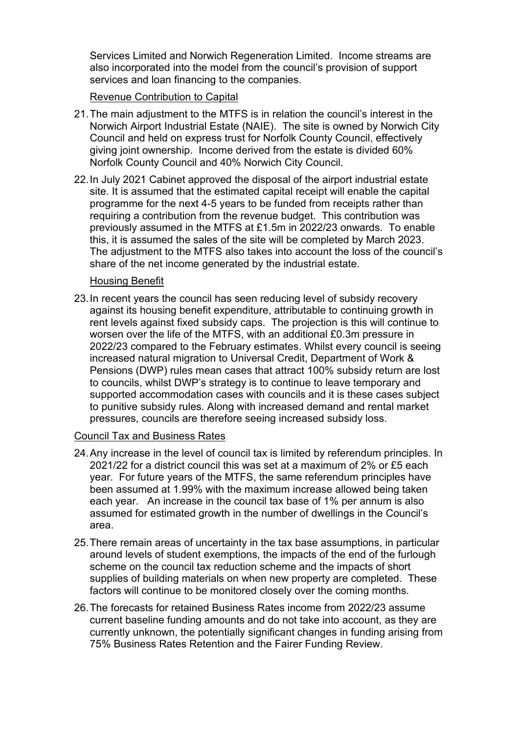Services Limited and Norwich Regeneration Limited. Income streams are also incorporated into the model from the council's provision of support services and loan financing to the companies.

### Revenue Contribution to Capital

- 21.The main adjustment to the MTFS is in relation the council's interest in the Norwich Airport Industrial Estate (NAIE). The site is owned by Norwich City Council and held on express trust for Norfolk County Council, effectively giving joint ownership. Income derived from the estate is divided 60% Norfolk County Council and 40% Norwich City Council.
- 22.In July 2021 Cabinet approved the disposal of the airport industrial estate site. It is assumed that the estimated capital receipt will enable the capital programme for the next 4-5 years to be funded from receipts rather than requiring a contribution from the revenue budget. This contribution was previously assumed in the MTFS at £1.5m in 2022/23 onwards. To enable this, it is assumed the sales of the site will be completed by March 2023. The adjustment to the MTFS also takes into account the loss of the council's share of the net income generated by the industrial estate.

#### Housing Benefit

23.In recent years the council has seen reducing level of subsidy recovery against its housing benefit expenditure, attributable to continuing growth in rent levels against fixed subsidy caps. The projection is this will continue to worsen over the life of the MTFS, with an additional £0.3m pressure in 2022/23 compared to the February estimates. Whilst every council is seeing increased natural migration to Universal Credit, Department of Work & Pensions (DWP) rules mean cases that attract 100% subsidy return are lost to councils, whilst DWP's strategy is to continue to leave temporary and supported accommodation cases with councils and it is these cases subject to punitive subsidy rules. Along with increased demand and rental market pressures, councils are therefore seeing increased subsidy loss.

### Council Tax and Business Rates

- 24.Any increase in the level of council tax is limited by referendum principles. In 2021/22 for a district council this was set at a maximum of 2% or £5 each year. For future years of the MTFS, the same referendum principles have been assumed at 1.99% with the maximum increase allowed being taken each year. An increase in the council tax base of 1% per annum is also assumed for estimated growth in the number of dwellings in the Council's area.
- 25.There remain areas of uncertainty in the tax base assumptions, in particular around levels of student exemptions, the impacts of the end of the furlough scheme on the council tax reduction scheme and the impacts of short supplies of building materials on when new property are completed. These factors will continue to be monitored closely over the coming months.
- 26.The forecasts for retained Business Rates income from 2022/23 assume current baseline funding amounts and do not take into account, as they are currently unknown, the potentially significant changes in funding arising from 75% Business Rates Retention and the Fairer Funding Review.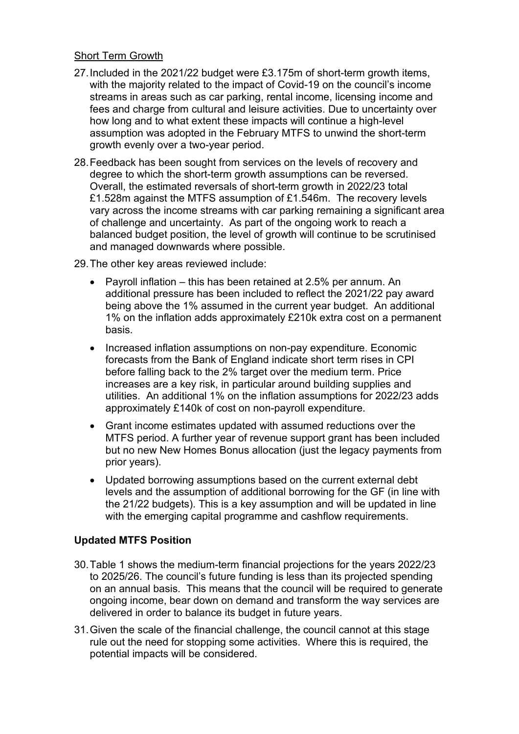### Short Term Growth

- 27.Included in the 2021/22 budget were £3.175m of short-term growth items, with the majority related to the impact of Covid-19 on the council's income streams in areas such as car parking, rental income, licensing income and fees and charge from cultural and leisure activities. Due to uncertainty over how long and to what extent these impacts will continue a high-level assumption was adopted in the February MTFS to unwind the short-term growth evenly over a two-year period.
- 28.Feedback has been sought from services on the levels of recovery and degree to which the short-term growth assumptions can be reversed. Overall, the estimated reversals of short-term growth in 2022/23 total £1.528m against the MTFS assumption of £1.546m. The recovery levels vary across the income streams with car parking remaining a significant area of challenge and uncertainty. As part of the ongoing work to reach a balanced budget position, the level of growth will continue to be scrutinised and managed downwards where possible.

29.The other key areas reviewed include:

- Payroll inflation this has been retained at 2.5% per annum. An additional pressure has been included to reflect the 2021/22 pay award being above the 1% assumed in the current year budget. An additional 1% on the inflation adds approximately £210k extra cost on a permanent basis.
- Increased inflation assumptions on non-pay expenditure. Economic forecasts from the Bank of England indicate short term rises in CPI before falling back to the 2% target over the medium term. Price increases are a key risk, in particular around building supplies and utilities. An additional 1% on the inflation assumptions for 2022/23 adds approximately £140k of cost on non-payroll expenditure.
- Grant income estimates updated with assumed reductions over the MTFS period. A further year of revenue support grant has been included but no new New Homes Bonus allocation (just the legacy payments from prior years).
- Updated borrowing assumptions based on the current external debt levels and the assumption of additional borrowing for the GF (in line with the 21/22 budgets). This is a key assumption and will be updated in line with the emerging capital programme and cashflow requirements.

## **Updated MTFS Position**

- 30.Table 1 shows the medium-term financial projections for the years 2022/23 to 2025/26. The council's future funding is less than its projected spending on an annual basis. This means that the council will be required to generate ongoing income, bear down on demand and transform the way services are delivered in order to balance its budget in future years.
- 31.Given the scale of the financial challenge, the council cannot at this stage rule out the need for stopping some activities. Where this is required, the potential impacts will be considered.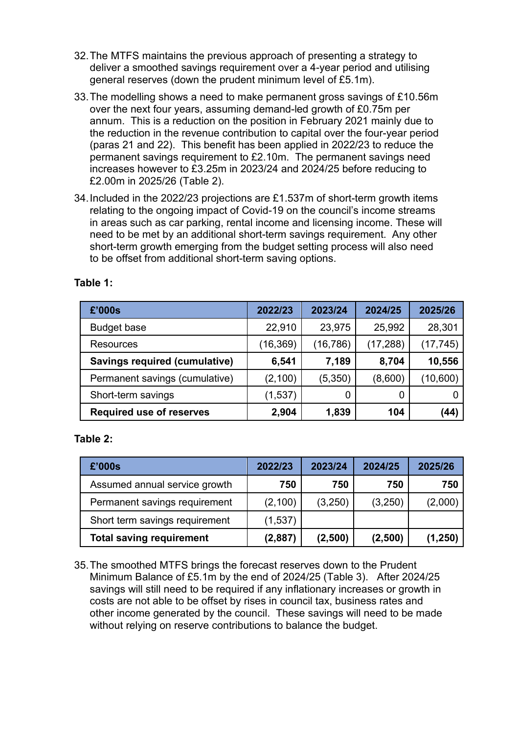- 32.The MTFS maintains the previous approach of presenting a strategy to deliver a smoothed savings requirement over a 4-year period and utilising general reserves (down the prudent minimum level of £5.1m).
- 33.The modelling shows a need to make permanent gross savings of £10.56m over the next four years, assuming demand-led growth of £0.75m per annum. This is a reduction on the position in February 2021 mainly due to the reduction in the revenue contribution to capital over the four-year period (paras 21 and 22). This benefit has been applied in 2022/23 to reduce the permanent savings requirement to £2.10m. The permanent savings need increases however to £3.25m in 2023/24 and 2024/25 before reducing to £2.00m in 2025/26 (Table 2).
- 34.Included in the 2022/23 projections are £1.537m of short-term growth items relating to the ongoing impact of Covid-19 on the council's income streams in areas such as car parking, rental income and licensing income. These will need to be met by an additional short-term savings requirement. Any other short-term growth emerging from the budget setting process will also need to be offset from additional short-term saving options.

| £'000s                               | 2022/23  | 2023/24   | 2024/25   | 2025/26   |
|--------------------------------------|----------|-----------|-----------|-----------|
| <b>Budget base</b>                   | 22,910   | 23,975    | 25,992    | 28,301    |
| Resources                            | (16,369) | (16, 786) | (17, 288) | (17, 745) |
| <b>Savings required (cumulative)</b> | 6,541    | 7,189     | 8,704     | 10,556    |
| Permanent savings (cumulative)       | (2,100)  | (5,350)   | (8,600)   | (10,600)  |
| Short-term savings                   | (1,537)  | 0         | C         |           |
| <b>Required use of reserves</b>      | 2,904    | 1,839     | 104       | (44)      |

## **Table 1:**

### **Table 2:**

| £'000s                          | 2022/23 | 2023/24 | 2024/25 | 2025/26  |
|---------------------------------|---------|---------|---------|----------|
| Assumed annual service growth   | 750     | 750     | 750     | 750      |
| Permanent savings requirement   | (2,100) | (3,250) | (3,250) | (2,000)  |
| Short term savings requirement  | (1,537) |         |         |          |
| <b>Total saving requirement</b> | (2,887) | (2,500) | (2,500) | (1, 250) |

35.The smoothed MTFS brings the forecast reserves down to the Prudent Minimum Balance of £5.1m by the end of 2024/25 (Table 3). After 2024/25 savings will still need to be required if any inflationary increases or growth in costs are not able to be offset by rises in council tax, business rates and other income generated by the council. These savings will need to be made without relying on reserve contributions to balance the budget.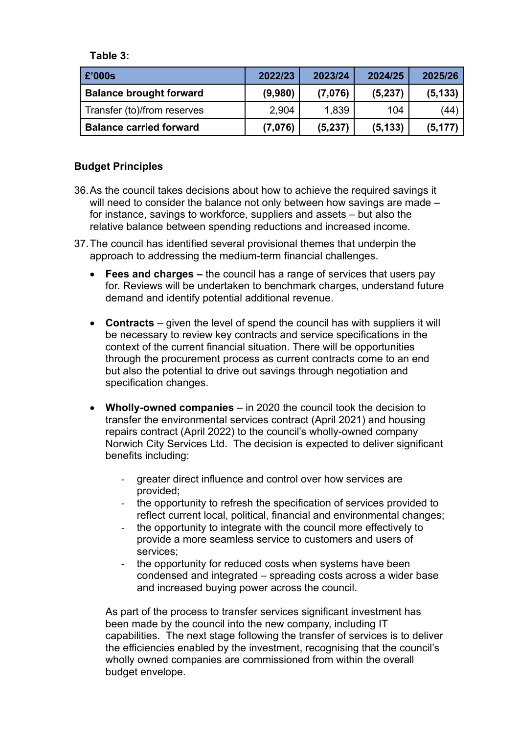**Table 3:**

| £'000s                         | 2022/23 | 2023/24 | 2024/25  | 2025/26  |
|--------------------------------|---------|---------|----------|----------|
| <b>Balance brought forward</b> | (9,980) | (7,076) | (5,237)  | (5, 133) |
| Transfer (to)/from reserves    | 2,904   | 1,839   | 104      | (44)     |
| <b>Balance carried forward</b> | (7,076) | (5,237) | (5, 133) | (5, 177) |

## **Budget Principles**

- 36.As the council takes decisions about how to achieve the required savings it will need to consider the balance not only between how savings are made – for instance, savings to workforce, suppliers and assets – but also the relative balance between spending reductions and increased income.
- 37.The council has identified several provisional themes that underpin the approach to addressing the medium-term financial challenges.
	- **Fees and charges –** the council has a range of services that users pay for. Reviews will be undertaken to benchmark charges, understand future demand and identify potential additional revenue.
	- **Contracts** given the level of spend the council has with suppliers it will be necessary to review key contracts and service specifications in the context of the current financial situation. There will be opportunities through the procurement process as current contracts come to an end but also the potential to drive out savings through negotiation and specification changes.
	- **Wholly-owned companies** in 2020 the council took the decision to transfer the environmental services contract (April 2021) and housing repairs contract (April 2022) to the council's wholly-owned company Norwich City Services Ltd. The decision is expected to deliver significant benefits including:
		- areater direct influence and control over how services are provided;
		- the opportunity to refresh the specification of services provided to reflect current local, political, financial and environmental changes;
		- the opportunity to integrate with the council more effectively to provide a more seamless service to customers and users of services;
		- the opportunity for reduced costs when systems have been condensed and integrated – spreading costs across a wider base and increased buying power across the council.

As part of the process to transfer services significant investment has been made by the council into the new company, including IT capabilities. The next stage following the transfer of services is to deliver the efficiencies enabled by the investment, recognising that the council's wholly owned companies are commissioned from within the overall budget envelope.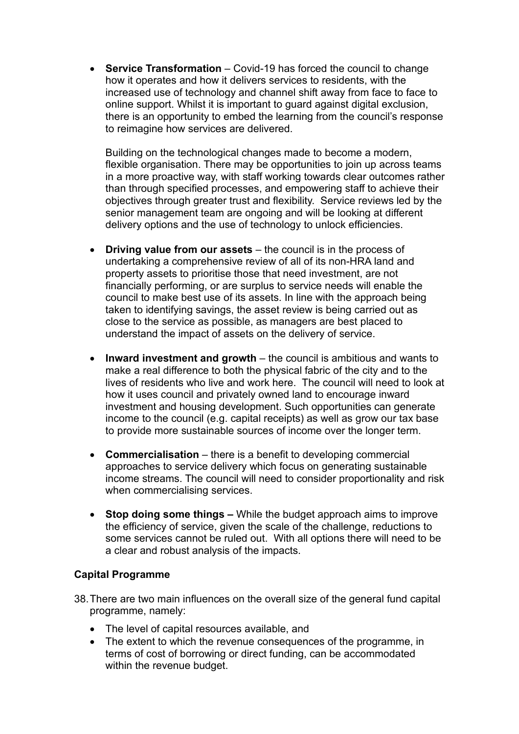• **Service Transformation** – Covid-19 has forced the council to change how it operates and how it delivers services to residents, with the increased use of technology and channel shift away from face to face to online support. Whilst it is important to guard against digital exclusion, there is an opportunity to embed the learning from the council's response to reimagine how services are delivered.

Building on the technological changes made to become a modern, flexible organisation. There may be opportunities to join up across teams in a more proactive way, with staff working towards clear outcomes rather than through specified processes, and empowering staff to achieve their objectives through greater trust and flexibility. Service reviews led by the senior management team are ongoing and will be looking at different delivery options and the use of technology to unlock efficiencies.

- **Driving value from our assets**  the council is in the process of undertaking a comprehensive review of all of its non-HRA land and property assets to prioritise those that need investment, are not financially performing, or are surplus to service needs will enable the council to make best use of its assets. In line with the approach being taken to identifying savings, the asset review is being carried out as close to the service as possible, as managers are best placed to understand the impact of assets on the delivery of service.
- **Inward investment and growth** the council is ambitious and wants to make a real difference to both the physical fabric of the city and to the lives of residents who live and work here. The council will need to look at how it uses council and privately owned land to encourage inward investment and housing development. Such opportunities can generate income to the council (e.g. capital receipts) as well as grow our tax base to provide more sustainable sources of income over the longer term.
- **Commercialisation** there is a benefit to developing commercial approaches to service delivery which focus on generating sustainable income streams. The council will need to consider proportionality and risk when commercialising services.
- **Stop doing some things –** While the budget approach aims to improve the efficiency of service, given the scale of the challenge, reductions to some services cannot be ruled out. With all options there will need to be a clear and robust analysis of the impacts.

## **Capital Programme**

- 38.There are two main influences on the overall size of the general fund capital programme, namely:
	- The level of capital resources available, and
	- The extent to which the revenue consequences of the programme, in terms of cost of borrowing or direct funding, can be accommodated within the revenue budget.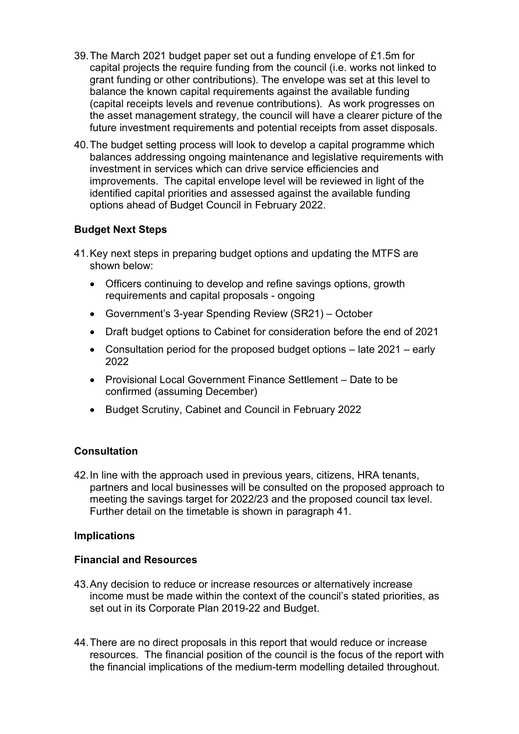- 39.The March 2021 budget paper set out a funding envelope of £1.5m for capital projects the require funding from the council (i.e. works not linked to grant funding or other contributions). The envelope was set at this level to balance the known capital requirements against the available funding (capital receipts levels and revenue contributions). As work progresses on the asset management strategy, the council will have a clearer picture of the future investment requirements and potential receipts from asset disposals.
- 40.The budget setting process will look to develop a capital programme which balances addressing ongoing maintenance and legislative requirements with investment in services which can drive service efficiencies and improvements. The capital envelope level will be reviewed in light of the identified capital priorities and assessed against the available funding options ahead of Budget Council in February 2022.

## **Budget Next Steps**

- 41.Key next steps in preparing budget options and updating the MTFS are shown below:
	- Officers continuing to develop and refine savings options, growth requirements and capital proposals - ongoing
	- Government's 3-year Spending Review (SR21) October
	- Draft budget options to Cabinet for consideration before the end of 2021
	- Consultation period for the proposed budget options late 2021 early 2022
	- Provisional Local Government Finance Settlement Date to be confirmed (assuming December)
	- Budget Scrutiny, Cabinet and Council in February 2022

### **Consultation**

42.In line with the approach used in previous years, citizens, HRA tenants, partners and local businesses will be consulted on the proposed approach to meeting the savings target for 2022/23 and the proposed council tax level. Further detail on the timetable is shown in paragraph 41.

### **Implications**

### **Financial and Resources**

- 43.Any decision to reduce or increase resources or alternatively increase income must be made within the context of the council's stated priorities, as set out in its Corporate Plan 2019-22 and Budget.
- 44.There are no direct proposals in this report that would reduce or increase resources. The financial position of the council is the focus of the report with the financial implications of the medium-term modelling detailed throughout.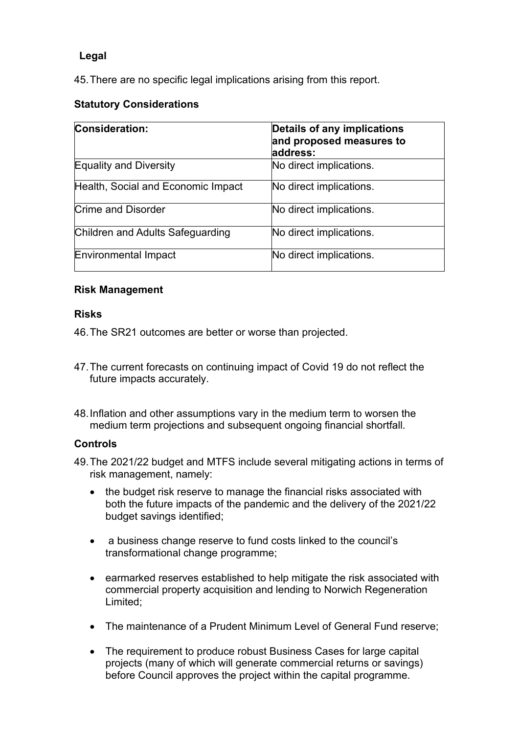# **Legal**

45.There are no specific legal implications arising from this report.

# **Statutory Considerations**

| <b>Consideration:</b>              | Details of any implications<br>and proposed measures to<br>address: |  |  |
|------------------------------------|---------------------------------------------------------------------|--|--|
| <b>Equality and Diversity</b>      | No direct implications.                                             |  |  |
| Health, Social and Economic Impact | No direct implications.                                             |  |  |
| <b>Crime and Disorder</b>          | No direct implications.                                             |  |  |
| Children and Adults Safeguarding   | No direct implications.                                             |  |  |
| Environmental Impact               | No direct implications.                                             |  |  |

## **Risk Management**

### **Risks**

46.The SR21 outcomes are better or worse than projected.

- 47.The current forecasts on continuing impact of Covid 19 do not reflect the future impacts accurately.
- 48.Inflation and other assumptions vary in the medium term to worsen the medium term projections and subsequent ongoing financial shortfall.

### **Controls**

- 49.The 2021/22 budget and MTFS include several mitigating actions in terms of risk management, namely:
	- the budget risk reserve to manage the financial risks associated with both the future impacts of the pandemic and the delivery of the 2021/22 budget savings identified;
	- a business change reserve to fund costs linked to the council's transformational change programme;
	- earmarked reserves established to help mitigate the risk associated with commercial property acquisition and lending to Norwich Regeneration Limited;
	- The maintenance of a Prudent Minimum Level of General Fund reserve;
	- The requirement to produce robust Business Cases for large capital projects (many of which will generate commercial returns or savings) before Council approves the project within the capital programme.